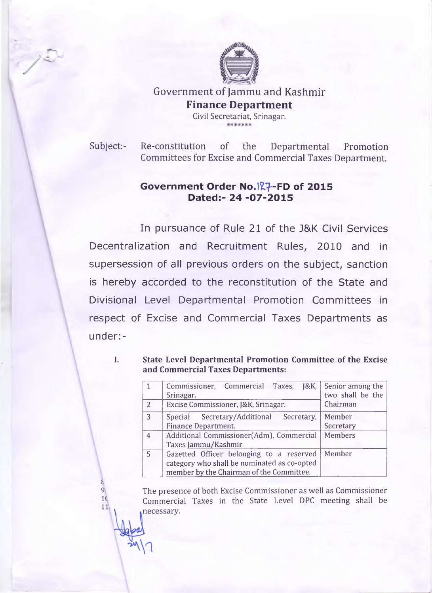

**Government of Jammu and Kashmir Finance Department** Civil Secretariat, Srinagar.

**Subject:- Re-constitution of the Departmental Promotion Committees for Excise and Commercial Taxes Department.**

# **Government Order No.l^J-FD of 2015 Dated:- 24 -07-2015**

In pursuance of Rule 21 of the J&K Civil Services Decentralization and Recruitment Rules, 2010 and in supersession of all previous orders on the subject, sanction is hereby accorded to the reconstitution of the State and Divisional Level Departmental Promotion Committees in respect of Excise and Commercial Taxes Departments as under:-

£

11

**I. State Level Departmental Promotion Committee of the Excise and Commercial Taxes Departments:**

|                | Commissioner, Commercial Taxes,<br>$18$ K,<br>Srinagar.                                                                             | Senior among the<br>two shall be the |
|----------------|-------------------------------------------------------------------------------------------------------------------------------------|--------------------------------------|
| $\overline{2}$ | Excise Commissioner, J&K, Srinagar.                                                                                                 | Chairman                             |
| $\mathcal{R}$  | Special Secretary/Additional<br>Secretary,<br><b>Finance Department.</b>                                                            | Member<br>Secretary                  |
| $\overline{4}$ | Additional Commissioner(Adm), Commercial<br>Taxes Jammu/Kashmir                                                                     | Members                              |
| -5             | Gazetted Officer belonging to a reserved<br>category who shall be nominated as co-opted<br>member by the Chairman of the Committee. | Member                               |

9. The presence of both Excise Commissioner as well as Commissioner<br>14 **September 2008** Commonsial Taxes in the State Lavel DPC meeting shall be Commercial Taxes in the State Level DPC meeting shall benecessary.